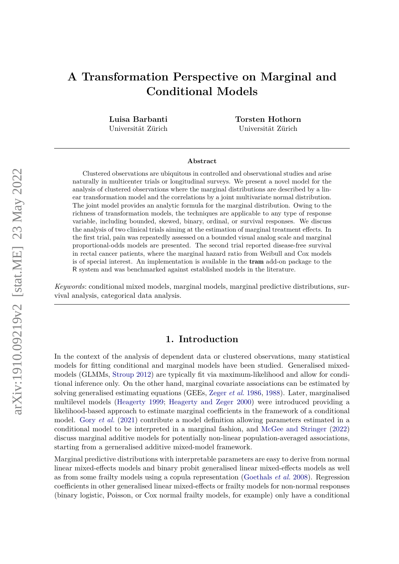# **A Transformation Perspective on Marginal and Conditional Models**

**Luisa Barbanti** Universität Zürich **Torsten Hothorn** Universität Zürich

#### **Abstract**

Clustered observations are ubiquitous in controlled and observational studies and arise naturally in multicenter trials or longitudinal surveys. We present a novel model for the analysis of clustered observations where the marginal distributions are described by a linear transformation model and the correlations by a joint multivariate normal distribution. The joint model provides an analytic formula for the marginal distribution. Owing to the richness of transformation models, the techniques are applicable to any type of response variable, including bounded, skewed, binary, ordinal, or survival responses. We discuss the analysis of two clinical trials aiming at the estimation of marginal treatment effects. In the first trial, pain was repeatedly assessed on a bounded visual analog scale and marginal proportional-odds models are presented. The second trial reported disease-free survival in rectal cancer patients, where the marginal hazard ratio from Weibull and Cox models is of special interest. An implementation is available in the tram add-on package to the R system and was benchmarked against established models in the literature.

*Keywords*: conditional mixed models, marginal models, marginal predictive distributions, survival analysis, categorical data analysis.

### **1. Introduction**

In the context of the analysis of dependent data or clustered observations, many statistical models for fitting conditional and marginal models have been studied. Generalised mixedmodels (GLMMs, [Stroup](#page-14-0) [2012\)](#page-14-0) are typically fit via maximum-likelihood and allow for conditional inference only. On the other hand, marginal covariate associations can be estimated by solving generalised estimating equations (GEEs, [Zeger](#page-15-0) *et al.* [1986,](#page-15-0) [1988\)](#page-15-1). Later, marginalised multilevel models [\(Heagerty](#page-13-0) [1999;](#page-13-0) [Heagerty and Zeger](#page-13-1) [2000\)](#page-13-1) were introduced providing a likelihood-based approach to estimate marginal coefficients in the framework of a conditional model. Gory *[et al.](#page-13-2)* [\(2021\)](#page-13-2) contribute a model definition allowing parameters estimated in a conditional model to be interpreted in a marginal fashion, and [McGee and Stringer](#page-14-1) [\(2022\)](#page-14-1) discuss marginal additive models for potentially non-linear population-averaged associations, starting from a gerneralised additive mixed-model framework.

Marginal predictive distributions with interpretable parameters are easy to derive from normal linear mixed-effects models and binary probit generalised linear mixed-effects models as well as from some frailty models using a copula representation [\(Goethals](#page-13-3) *et al.* [2008\)](#page-13-3). Regression coefficients in other generalised linear mixed-effects or frailty models for non-normal responses (binary logistic, Poisson, or Cox normal frailty models, for example) only have a conditional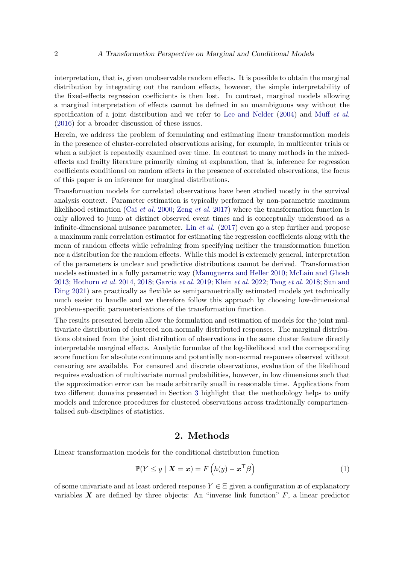interpretation, that is, given unobservable random effects. It is possible to obtain the marginal distribution by integrating out the random effects, however, the simple interpretability of the fixed-effects regression coefficients is then lost. In contrast, marginal models allowing a marginal interpretation of effects cannot be defined in an unambiguous way without the specification of a joint distribution and we refer to [Lee and Nelder](#page-13-4) [\(2004\)](#page-13-4) and Muff *[et al.](#page-14-2)* [\(2016\)](#page-14-2) for a broader discussion of these issues.

Herein, we address the problem of formulating and estimating linear transformation models in the presence of cluster-correlated observations arising, for example, in multicenter trials or when a subject is repeatedly examined over time. In contrast to many methods in the mixedeffects and frailty literature primarily aiming at explanation, that is, inference for regression coefficients conditional on random effects in the presence of correlated observations, the focus of this paper is on inference for marginal distributions.

Transformation models for correlated observations have been studied mostly in the survival analysis context. Parameter estimation is typically performed by non-parametric maximum likelihood estimation (Cai *[et al.](#page-12-0)* [2000;](#page-12-0) Zeng *[et al.](#page-15-2)* [2017\)](#page-15-2) where the transformation function is only allowed to jump at distinct observed event times and is conceptually understood as a infinite-dimensional nuisance parameter. Lin *[et al.](#page-13-5)* [\(2017\)](#page-13-5) even go a step further and propose a maximum rank correlation estimator for estimating the regression coefficients along with the mean of random effects while refraining from specifying neither the transformation function nor a distribution for the random effects. While this model is extremely general, interpretation of the parameters is unclear and predictive distributions cannot be derived. Transformation models estimated in a fully parametric way [\(Manuguerra and Heller](#page-13-6) [2010;](#page-13-6) [McLain and Ghosh](#page-14-3) [2013;](#page-14-3) [Hothorn](#page-13-7) *et al.* [2014,](#page-13-7) [2018;](#page-13-8) [Garcia](#page-13-9) *et al.* [2019;](#page-13-9) [Klein](#page-13-10) *et al.* [2022;](#page-13-10) [Tang](#page-14-4) *et al.* [2018;](#page-14-4) [Sun and](#page-14-5) [Ding](#page-14-5) [2021\)](#page-14-5) are practically as flexible as semiparametrically estimated models yet technically much easier to handle and we therefore follow this approach by choosing low-dimensional problem-specific parameterisations of the transformation function.

The results presented herein allow the formulation and estimation of models for the joint multivariate distribution of clustered non-normally distributed responses. The marginal distributions obtained from the joint distribution of observations in the same cluster feature directly interpretable marginal effects. Analytic formulae of the log-likelihood and the corresponding score function for absolute continuous and potentially non-normal responses observed without censoring are available. For censored and discrete observations, evaluation of the likelihood requires evaluation of multivariate normal probabilities, however, in low dimensions such that the approximation error can be made arbitrarily small in reasonable time. Applications from two different domains presented in Section [3](#page-6-0) highlight that the methodology helps to unify models and inference procedures for clustered observations across traditionally compartmentalised sub-disciplines of statistics.

### **2. Methods**

Linear transformation models for the conditional distribution function

<span id="page-1-0"></span>
$$
\mathbb{P}(Y \le y \mid \boldsymbol{X} = \boldsymbol{x}) = F\left(h(y) - \boldsymbol{x}^{\top}\boldsymbol{\beta}\right)
$$
\n(1)

of some univariate and at least ordered response  $Y \in \Xi$  given a configuration x of explanatory variables  $\boldsymbol{X}$  are defined by three objects: An "inverse link function"  $F$ , a linear predictor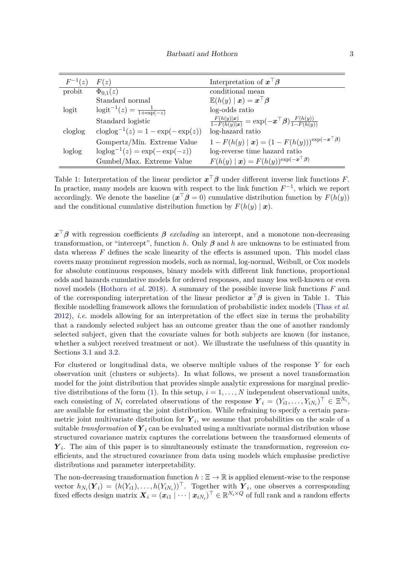| $F^{-1}(z)$ | F(z)                                                            | Interpretation of $x^{\perp}\beta$                                               |
|-------------|-----------------------------------------------------------------|----------------------------------------------------------------------------------|
| probit      | $\Phi_{0,1}(z)$                                                 | conditional mean                                                                 |
|             | Standard normal                                                 | $\mathbb{E}(h(y)   \bm{x}) = \bm{x}^\top \bm{\beta}$                             |
| logit       | $logit^{-1}(z) = \frac{1}{1 + exp(-z)}$                         | log-odds ratio                                                                   |
|             | Standard logistic                                               | $\frac{F(h(y) x)}{1-F(h(y) x)} = \exp(-x^{\top}\beta) \frac{F(h(y))}{1-F(h(y))}$ |
| cloglog     | $\mathrm{cloglog}^{-1}(z) = 1 - \mathrm{exp}(-\mathrm{exp}(z))$ | log-hazard ratio                                                                 |
|             | Gompertz/Min. Extreme Value                                     | $1 - F(h(y)   x) = (1 - F(h(y)))^{\exp(-x^{\top}\beta)}$                         |
| loglog      | $loglog^{-1}(z) = exp(-exp(-z))$                                | log-reverse time hazard ratio                                                    |
|             | Gumbel/Max. Extreme Value                                       | $F(h(y)   \mathbf{x}) = F(h(y))^{\exp(-\mathbf{x}^\top \beta)}$                  |

<span id="page-2-0"></span>Table 1: Interpretation of the linear predictor  $x^{\top} \beta$  under different inverse link functions *F*. In practice, many models are known with respect to the link function  $F^{-1}$ , which we report accordingly. We denote the baseline  $(x^{\top}\beta = 0)$  cumulative distribution function by  $F(h(y))$ and the conditional cumulative distribution function by  $F(h(y) | x)$ .

*x* <sup>&</sup>gt;*β* with regression coefficients *β excluding* an intercept, and a monotone non-decreasing transformation, or "intercept", function *h*. Only *β* and *h* are unknowns to be estimated from data whereas *F* defines the scale linearity of the effects is assumed upon. This model class covers many prominent regression models, such as normal, log-normal, Weibull, or Cox models for absolute continuous responses, binary models with different link functions, proportional odds and hazards cumulative models for ordered responses, and many less well-known or even novel models [\(Hothorn](#page-13-8) *et al.* [2018\)](#page-13-8). A summary of the possible inverse link functions *F* and of the corresponding interpretation of the linear predictor  $x^{\top} \beta$  is given in Table [1.](#page-2-0) This flexible modelling framework allows the formulation of probabilistic index models [\(Thas](#page-14-6) *et al.* [2012\)](#page-14-6), *i.e.* models allowing for an interpretation of the effect size in terms the probability that a randomly selected subject has an outcome greater than the one of another randomly selected subject, given that the covariate values for both subjects are known (for instance, whether a subject received treatment or not). We illustrate the usefulness of this quantity in Sections [3.1](#page-6-1) and [3.2.](#page-7-0)

For clustered or longitudinal data, we observe multiple values of the response *Y* for each observation unit (clusters or subjects). In what follows, we present a novel transformation model for the joint distribution that provides simple analytic expressions for marginal predic-tive distributions of the form [\(1\)](#page-1-0). In this setup,  $i = 1, \ldots, N$  independent observational units, each consisting of  $N_i$  correlated observations of the response  $\boldsymbol{Y}_i = (Y_{i1}, \ldots, Y_{iN_i})^\top \in \Xi^{N_i}$ , are available for estimating the joint distribution. While refraining to specify a certain parametric joint multivariate distribution for  $Y_i$ , we assume that probabilities on the scale of a suitable *transformation* of  $Y_i$  can be evaluated using a multivariate normal distribution whose structured covariance matrix captures the correlations between the transformed elements of *Y*<sub>i</sub>. The aim of this paper is to simultaneously estimate the transformation, regression coefficients, and the structured covariance from data using models which emphasise predictive distributions and parameter interpretability.

The non-decreasing transformation function  $h : \Xi \to \mathbb{R}$  is applied element-wise to the response vector  $h_{N_i}(\boldsymbol{Y}_i) = (h(Y_{i1}), \ldots, h(Y_{iN_i}))^{\top}$ . Together with  $\boldsymbol{Y}_i$ , one observes a corresponding fixed effects design matrix  $\boldsymbol{X}_i = (\boldsymbol{x}_{i1} \mid \cdots \mid \boldsymbol{x}_{iN_i})^\top \in \mathbb{R}^{N_i \times Q}$  of full rank and a random effects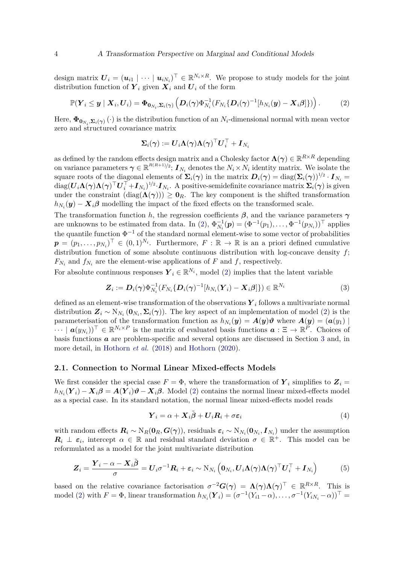design matrix  $\boldsymbol{U}_i = (\boldsymbol{u}_{i1} \mid \cdots \mid \boldsymbol{u}_{iN_i})^\top \in \mathbb{R}^{N_i \times R}$ . We propose to study models for the joint distribution function of  $Y_i$  given  $X_i$  and  $U_i$  of the form

<span id="page-3-0"></span>
$$
\mathbb{P}(\boldsymbol{Y}_i \leq \boldsymbol{y} \mid \boldsymbol{X}_i, \boldsymbol{U}_i) = \boldsymbol{\Phi}_{\boldsymbol{0}_{N_i}, \boldsymbol{\Sigma}_i(\boldsymbol{\gamma})} \left( \boldsymbol{D}_i(\boldsymbol{\gamma}) \boldsymbol{\Phi}_{N_i}^{-1} (F_{N_i} \{ \boldsymbol{D}_i(\boldsymbol{\gamma})^{-1} [h_{N_i}(\boldsymbol{y}) - \boldsymbol{X}_i \boldsymbol{\beta}] \}) \right).
$$
 (2)

Here,  $\Phi_{\mathbf{0}_{N_i},\mathbf{\Sigma}_i(\gamma)}(\cdot)$  is the distribution function of an  $N_i$ -dimensional normal with mean vector zero and structured covariance matrix

$$
\boldsymbol{\Sigma}_i(\boldsymbol{\gamma}):=\boldsymbol{U}_i\boldsymbol{\Lambda}(\boldsymbol{\gamma})\boldsymbol{\Lambda}(\boldsymbol{\gamma})^\top\boldsymbol{U}_i^\top+\boldsymbol{I}_{N_i}
$$

as defined by the random effects design matrix and a Cholesky factor  $\Lambda(\gamma) \in \mathbb{R}^{R \times R}$  depending on variance parameters  $\boldsymbol{\gamma} \in \mathbb{R}^{R(R+1)/2}$ ;  $\boldsymbol{I}_{N_i}$  denotes the  $N_i \times N_i$  identity matrix. We isolate the square roots of the diagonal elements of  $\Sigma_i(\gamma)$  in the matrix  $D_i(\gamma) = \text{diag}(\Sigma_i(\gamma))^{1/2} \cdot I_{N_i} =$  $\text{diag}(\boldsymbol{U}_i \boldsymbol{\Lambda}(\boldsymbol{\gamma}) \boldsymbol{\Lambda}(\boldsymbol{\gamma})^\top \boldsymbol{U}_i^\top + \boldsymbol{I}_{N_i})^{1/2} \cdot \boldsymbol{I}_{N_i}$ . A positive-semidefinite covariance matrix  $\boldsymbol{\Sigma}_i(\boldsymbol{\gamma})$  is given under the constraint  $(\text{diag}(\Lambda(\gamma))) \geq \mathbf{0}_R$ . The key component is the shifted transformation  $h_{N_i}(\mathbf{y}) - \mathbf{X}_i \boldsymbol{\beta}$  modelling the impact of the fixed effects on the transformed scale.

The transformation function *h*, the regression coefficients  $\beta$ , and the variance parameters  $\gamma$ are unknowns to be estimated from data. In [\(2\)](#page-3-0),  $\Phi_{N_i}^{-1}(\mathbf{p}) = (\Phi^{-1}(p_1), \dots, \Phi^{-1}(p_{N_i}))^{\top}$  applies the quantile function  $\Phi^{-1}$  of the standard normal element-wise to some vector of probabilities  $\boldsymbol{p} = (p_1, \ldots, p_{N_i})^\top \in (0, 1)^{N_i}$ . Furthermore,  $F : \mathbb{R} \to \mathbb{R}$  is an a priori defined cumulative distribution function of some absolute continuous distribution with log-concave density  $f$ ;  $F_{N_i}$  and  $f_{N_i}$  are the element-wise applications of *F* and *f*, respectively.

For absolute continuous responses  $Y_i \in \mathbb{R}^{N_i}$ , model [\(2\)](#page-3-0) implies that the latent variable

<span id="page-3-3"></span>
$$
\boldsymbol{Z}_i := \boldsymbol{D}_i(\boldsymbol{\gamma}) \Phi_{N_i}^{-1} (F_{N_i} {\boldsymbol{D}_i(\boldsymbol{\gamma})}^{-1} [h_{N_i} (\boldsymbol{Y}_i) - \boldsymbol{X}_i {\boldsymbol{\beta}}] \}) \in \mathbb{R}^{N_i}
$$
(3)

defined as an element-wise transformation of the observations  $Y_i$  follows a multivariate normal distribution  $\mathbf{Z}_i \sim N_{N_i}(\mathbf{0}_{N_i}, \mathbf{\Sigma}_i(\boldsymbol{\gamma}))$ . The key aspect of an implementation of model [\(2\)](#page-3-0) is the parameterisation of the transformation function as  $h_{N_i}(\mathbf{y}) = \mathbf{A}(\mathbf{y})\mathbf{\vartheta}$  where  $\mathbf{A}(\mathbf{y}) = (\mathbf{a}(y_1))$  $\cdots \mid \boldsymbol{a}(y_{N_i})^{\top} \in \mathbb{R}^{N_i \times P}$  is the matrix of evaluated basis functions  $\boldsymbol{a}: \Xi \to \mathbb{R}^P$ . Choices of basis functions *a* are problem-specific and several options are discussed in Section [3](#page-6-0) and, in more detail, in [Hothorn](#page-13-8) *et al.* [\(2018\)](#page-13-8) and [Hothorn](#page-13-11) [\(2020\)](#page-13-11).

#### **2.1. Connection to Normal Linear Mixed-effects Models**

We first consider the special case  $F = \Phi$ , where the transformation of  $Y_i$  simplifies to  $Z_i =$  $h_{N_i}(\bm{Y}_i) - \bm{X}_i\bm{\beta} = \bm{A}(\bm{Y}_i)\bm{\vartheta} - \bm{X}_i\bm{\beta}$ . Model [\(2\)](#page-3-0) contains the normal linear mixed-effects model as a special case. In its standard notation, the normal linear mixed-effects model reads

<span id="page-3-2"></span>
$$
\boldsymbol{Y}_i = \alpha + \boldsymbol{X}_i \tilde{\boldsymbol{\beta}} + \boldsymbol{U}_i \boldsymbol{R}_i + \sigma \boldsymbol{\varepsilon}_i \tag{4}
$$

with random effects  $R_i \sim N_R(\mathbf{0}_R, G(\gamma))$ , residuals  $\varepsilon_i \sim N_{N_i}(\mathbf{0}_{N_i}, I_{N_i})$  under the assumption  $\mathbf{R}_i \perp \varepsilon_i$ , intercept  $\alpha \in \mathbb{R}$  and residual standard deviation  $\sigma \in \mathbb{R}^+$ . This model can be reformulated as a model for the joint multivariate distribution

<span id="page-3-1"></span>
$$
\boldsymbol{Z}_{i} = \frac{\boldsymbol{Y}_{i} - \alpha - \boldsymbol{X}_{i} \tilde{\boldsymbol{\beta}}}{\sigma} = \boldsymbol{U}_{i} \sigma^{-1} \boldsymbol{R}_{i} + \boldsymbol{\varepsilon}_{i} \sim \mathrm{N}_{N_{i}} \left( \boldsymbol{0}_{N_{i}}, \boldsymbol{U}_{i} \boldsymbol{\Lambda} (\boldsymbol{\gamma}) \boldsymbol{\Lambda} (\boldsymbol{\gamma})^{\top} \boldsymbol{U}_{i}^{\top} + \boldsymbol{I}_{N_{i}} \right) \tag{5}
$$

based on the relative covariance factorisation  $\sigma^{-2}G(\gamma) = \Lambda(\gamma)\Lambda(\gamma)^{\top} \in \mathbb{R}^{R \times R}$ . This is model [\(2\)](#page-3-0) with  $F = \Phi$ , linear transformation  $h_{N_i}(\boldsymbol{Y}_i) = (\sigma^{-1}(Y_{i1} - \alpha), \dots, \sigma^{-1}(Y_{iN_i} - \alpha))^{\top} =$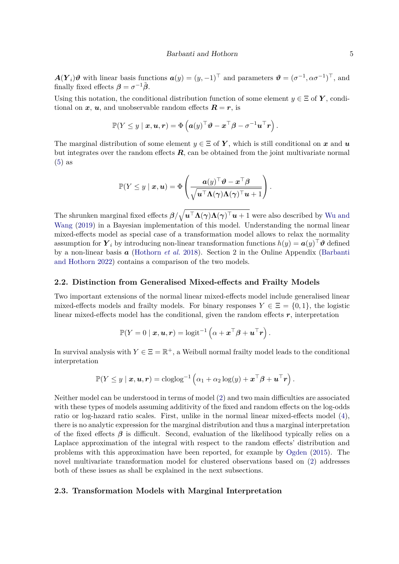$A(Y_i)\theta$  with linear basis functions  $a(y) = (y, -1)^\top$  and parameters  $\theta = (\sigma^{-1}, \alpha \sigma^{-1})^\top$ , and finally fixed effects  $\beta = \sigma^{-1}\tilde{\beta}$ .

Using this notation, the conditional distribution function of some element  $y \in \Xi$  of *Y*, conditional on  $x$ ,  $u$ , and unobservable random effects  $R = r$ , is

$$
\mathbb{P}(Y \leq y \mid \boldsymbol{x}, \boldsymbol{u}, \boldsymbol{r}) = \Phi\left(\boldsymbol{a}(y)^\top \boldsymbol{\vartheta} - \boldsymbol{x}^\top \boldsymbol{\beta} - \sigma^{-1} \boldsymbol{u}^\top \boldsymbol{r}\right).
$$

The marginal distribution of some element  $y \in \Xi$  of Y, which is still conditional on x and u but integrates over the random effects  $R$ , can be obtained from the joint multivariate normal [\(5\)](#page-3-1) as

$$
\mathbb{P}(Y \leq y \mid \bm{x}, \bm{u}) = \Phi\left(\frac{\bm{a}(y)^\top \bm{\vartheta} - \bm{x}^\top \bm{\beta}}{\sqrt{\bm{u}^\top \bm{\Lambda}(\bm{\gamma}) \bm{\Lambda}(\bm{\gamma})^\top \bm{u} + 1}}\right).
$$

The shrunken marginal fixed effects  $\beta/\sqrt{u^{\top}\Lambda(\gamma)\Lambda(\gamma)^{\top}u+1}$  were also described by [Wu and](#page-15-3) [Wang](#page-15-3) [\(2019\)](#page-15-3) in a Bayesian implementation of this model. Understanding the normal linear mixed-effects model as special case of a transformation model allows to relax the normality assumption for  $Y_i$  by introducing non-linear transformation functions  $h(y) = \boldsymbol{a}(y)^\top \boldsymbol{\vartheta}$  defined by a non-linear basis *a* [\(Hothorn](#page-13-8) *et al.* [2018\)](#page-13-8). Section 2 in the Online Appendix [\(Barbanti](#page-12-1) [and Hothorn](#page-12-1) [2022\)](#page-12-1) contains a comparison of the two models.

#### **2.2. Distinction from Generalised Mixed-effects and Frailty Models**

Two important extensions of the normal linear mixed-effects model include generalised linear mixed-effects models and frailty models. For binary responses  $Y \in \Xi = \{0, 1\}$ , the logistic linear mixed-effects model has the conditional, given the random effects *r*, interpretation

$$
\mathbb{P}(Y=0\mid\boldsymbol{x},\boldsymbol{u},\boldsymbol{r})=\text{logit}^{-1}\left(\alpha+\boldsymbol{x}^{\top}\boldsymbol{\beta}+\boldsymbol{u}^{\top}\boldsymbol{r}\right).
$$

In survival analysis with  $Y \in \Xi = \mathbb{R}^+$ , a Weibull normal frailty model leads to the conditional interpretation

$$
\mathbb{P}(Y \leq y \mid \boldsymbol{x}, \boldsymbol{u}, \boldsymbol{r}) = \mathrm{cloglog}^{-1}\left(\alpha_1 + \alpha_2 \log(y) + \boldsymbol{x}^\top \boldsymbol{\beta} + \boldsymbol{u}^\top \boldsymbol{r}\right).
$$

Neither model can be understood in terms of model [\(2\)](#page-3-0) and two main difficulties are associated with these types of models assuming additivity of the fixed and random effects on the log-odds ratio or log-hazard ratio scales. First, unlike in the normal linear mixed-effects model [\(4\)](#page-3-2), there is no analytic expression for the marginal distribution and thus a marginal interpretation of the fixed effects  $\beta$  is difficult. Second, evaluation of the likelihood typically relies on a Laplace approximation of the integral with respect to the random effects' distribution and problems with this approximation have been reported, for example by [Ogden](#page-14-7) [\(2015\)](#page-14-7). The novel multivariate transformation model for clustered observations based on [\(2\)](#page-3-0) addresses both of these issues as shall be explained in the next subsections.

#### <span id="page-4-0"></span>**2.3. Transformation Models with Marginal Interpretation**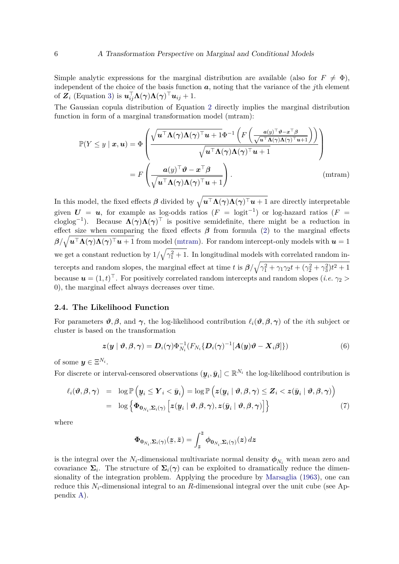Simple analytic expressions for the marginal distribution are available (also for  $F \neq \Phi$ ), independent of the choice of the basis function *a*, noting that the variance of the *j*th element of  $\mathbf{Z}_i$  (Equation [3\)](#page-3-3) is  $\mathbf{u}_{ij}^{\top} \mathbf{\Lambda}(\boldsymbol{\gamma}) \mathbf{\Lambda}(\boldsymbol{\gamma})^{\top} \mathbf{u}_{ij} + 1$ .

The Gaussian copula distribution of Equation [2](#page-3-0) directly implies the marginal distribution function in form of a marginal transformation model (mtram):

$$
\mathbb{P}(Y \le y \mid \mathbf{x}, \mathbf{u}) = \Phi \left( \frac{\sqrt{\mathbf{u}^{\top} \mathbf{\Lambda}(\boldsymbol{\gamma}) \mathbf{\Lambda}(\boldsymbol{\gamma})^{\top} \mathbf{u} + 1} \Phi^{-1} \left( F \left( \frac{a(y)^{\top} \vartheta - \mathbf{x}^{\top} \beta}{\sqrt{\mathbf{u}^{\top} \mathbf{\Lambda}(\boldsymbol{\gamma}) \mathbf{\Lambda}(\boldsymbol{\gamma})^{\top} \mathbf{u} + 1}} \right) \right)}{\sqrt{\mathbf{u}^{\top} \mathbf{\Lambda}(\boldsymbol{\gamma}) \mathbf{\Lambda}(\boldsymbol{\gamma})^{\top} \mathbf{u} + 1}} \right)
$$
\n
$$
= F \left( \frac{a(y)^{\top} \vartheta - \mathbf{x}^{\top} \beta}{\sqrt{\mathbf{u}^{\top} \mathbf{\Lambda}(\boldsymbol{\gamma}) \mathbf{\Lambda}(\boldsymbol{\gamma})^{\top} \mathbf{u} + 1}} \right). \qquad (\text{mtram})
$$

In this model, the fixed effects  $\beta$  divided by  $\sqrt{u^{\top} \Lambda(\gamma) \Lambda(\gamma)^{\top} u + 1}$  are directly interpretable given  $U = u$ , for example as log-odds ratios  $(F = logit^{-1})$  or log-hazard ratios  $(F =$ cloglog<sup>-1</sup>). Because  $\Lambda(\gamma)\Lambda(\gamma)^{\top}$  is positive semidefinite, there might be a reduction in effect size when comparing the fixed effects  $\beta$  from formula [\(2\)](#page-3-0) to the marginal effects  $\beta/\sqrt{u^{\top}\Lambda(\gamma)\Lambda(\gamma)^{\top}u+1}$  from model [\(mtram\)](#page-4-0). For random intercept-only models with  $u=1$ we get a constant reduction by  $1/\sqrt{\gamma_1^2+1}$ . In longitudinal models with correlated random intercepts and random slopes, the marginal effect at time *t* is  $\beta/\sqrt{\gamma_1^2 + \gamma_1\gamma_2t + (\gamma_2^2 + \gamma_3^2)t^2 + 1}$ because  $u = (1, t)^{\top}$ . For positively correlated random intercepts and random slopes (*i.e.*  $\gamma_2$ ) 0), the marginal effect always decreases over time.

#### **2.4. The Likelihood Function**

For parameters  $\vartheta$ ,  $\beta$ , and  $\gamma$ , the log-likelihood contribution  $\ell_i(\vartheta, \beta, \gamma)$  of the *i*th subject or cluster is based on the transformation

<span id="page-5-1"></span>
$$
\boldsymbol{z}(\boldsymbol{y} \mid \boldsymbol{\vartheta}, \boldsymbol{\beta}, \boldsymbol{\gamma}) = \boldsymbol{D}_i(\boldsymbol{\gamma}) \Phi_{N_i}^{-1} (F_{N_i} {\boldsymbol{\{\Omega_i(\boldsymbol{\gamma})^{-1} [A(\boldsymbol{y}) \boldsymbol{\vartheta} - \boldsymbol{X}_i \boldsymbol{\beta}]} \})
$$
(6)

of some  $y \in \Xi^{N_i}$ .

For discrete or interval-censored observations  $(\underline{\mathbf{y}}_i, \overline{\mathbf{y}}_i] \subset \mathbb{R}^{N_i}$  the log-likelihood contribution is ¯

<span id="page-5-0"></span>
$$
\ell_i(\boldsymbol{\vartheta}, \boldsymbol{\beta}, \boldsymbol{\gamma}) = \log \mathbb{P}\left(\underline{\boldsymbol{y}}_i \leq \boldsymbol{Y}_i < \bar{\boldsymbol{y}}_i\right) = \log \mathbb{P}\left(\boldsymbol{z}(\underline{\boldsymbol{y}}_i \mid \boldsymbol{\vartheta}, \boldsymbol{\beta}, \boldsymbol{\gamma}) \leq \boldsymbol{Z}_i < \boldsymbol{z}(\bar{\boldsymbol{y}}_i \mid \boldsymbol{\vartheta}, \boldsymbol{\beta}, \boldsymbol{\gamma})\right) \\
= \log \left\{\boldsymbol{\Phi}_{\boldsymbol{0}_{N_i}, \boldsymbol{\Sigma}_i(\boldsymbol{\gamma})} \left[\boldsymbol{z}(\underline{\boldsymbol{y}}_i \mid \boldsymbol{\vartheta}, \boldsymbol{\beta}, \boldsymbol{\gamma}), \boldsymbol{z}(\bar{\boldsymbol{y}}_i \mid \boldsymbol{\vartheta}, \boldsymbol{\beta}, \boldsymbol{\gamma})\right]\right\}\n\tag{7}
$$

where

$$
\Phi_{\mathbf{0}_{N_i},\mathbf{\Sigma}_i(\gamma)}(\mathbf{z},\bar{\mathbf{z}})=\int_{\underline{z}}^{\bar{z}}\phi_{\mathbf{0}_{N_i},\mathbf{\Sigma}_i(\gamma)}(\mathbf{z})\,d\mathbf{z}
$$

is the integral over the  $N_i$ -dimensional multivariate normal density  $\phi_{N_i}$  with mean zero and covariance  $\Sigma_i$ . The structure of  $\Sigma_i(\gamma)$  can be exploited to dramatically reduce the dimensionality of the integration problem. Applying the procedure by [Marsaglia](#page-14-8) [\(1963\)](#page-14-8), one can reduce this *Ni*-dimensional integral to an *R*-dimensional integral over the unit cube (see Appendix [A\)](#page-16-0).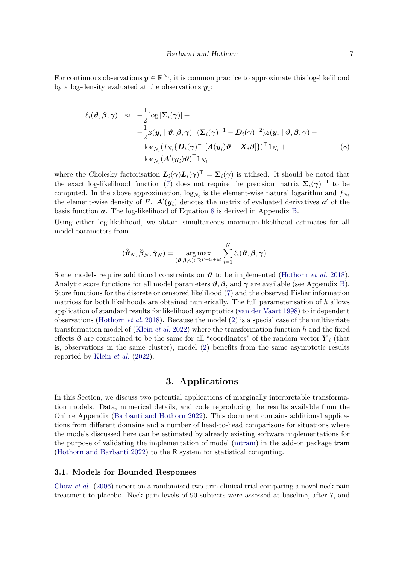For continuous observations  $y \in \mathbb{R}^{N_i}$ , it is common practice to approximate this log-likelihood by a log-density evaluated at the observations  $y_i$ :

<span id="page-6-2"></span>
$$
\ell_i(\boldsymbol{\vartheta}, \boldsymbol{\beta}, \boldsymbol{\gamma}) \approx -\frac{1}{2} \log |\mathbf{\Sigma}_i(\boldsymbol{\gamma})| +
$$
\n
$$
-\frac{1}{2} \mathbf{z}(\mathbf{y}_i \mid \boldsymbol{\vartheta}, \boldsymbol{\beta}, \boldsymbol{\gamma})^\top (\mathbf{\Sigma}_i(\boldsymbol{\gamma})^{-1} - \mathbf{D}_i(\boldsymbol{\gamma})^{-2}) \mathbf{z}(\mathbf{y}_i \mid \boldsymbol{\vartheta}, \boldsymbol{\beta}, \boldsymbol{\gamma}) +
$$
\n
$$
\log_{N_i} (f_{N_i} \{ \mathbf{D}_i(\boldsymbol{\gamma})^{-1} [\mathbf{A}(\mathbf{y}_i) \boldsymbol{\vartheta} - \mathbf{X}_i \boldsymbol{\beta}] \})^\top \mathbf{1}_{N_i} +
$$
\n
$$
\log_{N_i} (\mathbf{A}'(\mathbf{y}_i) \boldsymbol{\vartheta})^\top \mathbf{1}_{N_i}
$$
\n(8)

where the Cholesky factorisation  $L_i(\gamma) L_i(\gamma)^T = \Sigma_i(\gamma)$  is utilised. It should be noted that the exact log-likelihood function [\(7\)](#page-5-0) does not require the precision matrix  $\Sigma_i(\gamma)^{-1}$  to be computed. In the above approximation,  $log_{N_i}$  is the element-wise natural logarithm and  $f_{N_i}$ the element-wise density of *F*.  $\mathbf{A}^{\prime}(\mathbf{y}_i)$  denotes the matrix of evaluated derivatives  $\mathbf{a}^{\prime}$  of the basis function *a*. The log-likelihood of Equation [8](#page-6-2) is derived in Appendix [B.](#page-17-0)

Using either log-likelihood, we obtain simultaneous maximum-likelihood estimates for all model parameters from

$$
(\hat{\boldsymbol{\vartheta}}_N,\hat{\boldsymbol{\beta}}_N,\hat{\boldsymbol{\gamma}}_N)=\argmax_{(\boldsymbol{\vartheta},\boldsymbol{\beta},\boldsymbol{\gamma})\in\mathbb{R}^{P+Q+M}}\sum_{i=1}^N\ell_i(\boldsymbol{\vartheta},\boldsymbol{\beta},\boldsymbol{\gamma}).
$$

Some models require additional constraints on  $\theta$  to be implemented [\(Hothorn](#page-13-8) *et al.* [2018\)](#page-13-8). Analytic score functions for all model parameters  $\vartheta$ ,  $\beta$ , and  $\gamma$  are available (see Appendix [B\)](#page-17-0). Score functions for the discrete or censored likelihood [\(7\)](#page-5-0) and the observed Fisher information matrices for both likelihoods are obtained numerically. The full parameterisation of *h* allows application of standard results for likelihood asymptotics [\(van der Vaart](#page-14-9) [1998\)](#page-14-9) to independent observations [\(Hothorn](#page-13-8) *et al.* [2018\)](#page-13-8). Because the model [\(2\)](#page-3-0) is a special case of the multivariate transformation model of [\(Klein](#page-13-10) *et al.* [2022\)](#page-13-10) where the transformation function *h* and the fixed effects  $\beta$  are constrained to be the same for all "coordinates" of the random vector  $Y_i$  (that is, observations in the same cluster), model [\(2\)](#page-3-0) benefits from the same asymptotic results reported by [Klein](#page-13-10) *et al.* [\(2022\)](#page-13-10).

### **3. Applications**

<span id="page-6-0"></span>In this Section, we discuss two potential applications of marginally interpretable transformation models. Data, numerical details, and code reproducing the results available from the Online Appendix [\(Barbanti and Hothorn](#page-12-1) [2022\)](#page-12-1). This document contains additional applications from different domains and a number of head-to-head comparisons for situations where the models discussed here can be estimated by already existing software implementations for the purpose of validating the implementation of model [\(mtram\)](#page-4-0) in the add-on package tram [\(Hothorn and Barbanti](#page-13-12) [2022\)](#page-13-12) to the R system for statistical computing.

#### <span id="page-6-1"></span>**3.1. Models for Bounded Responses**

[Chow](#page-12-2) *et al.* [\(2006\)](#page-12-2) report on a randomised two-arm clinical trial comparing a novel neck pain treatment to placebo. Neck pain levels of 90 subjects were assessed at baseline, after 7, and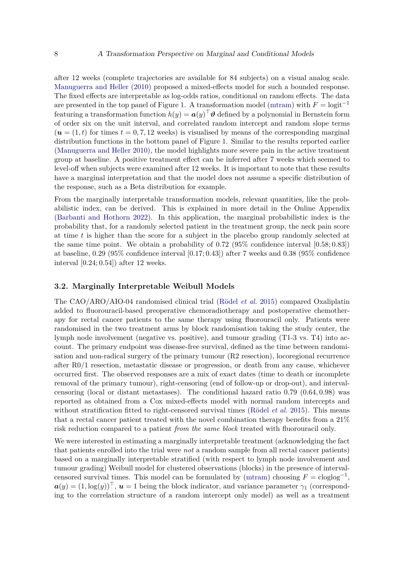after 12 weeks (complete trajectories are available for 84 subjects) on a visual analog scale. [Manuguerra and Heller](#page-13-6) [\(2010\)](#page-13-6) proposed a mixed-effects model for such a bounded response. The fixed effects are interpretable as log-odds ratios, conditional on random effects. The data are presented in the top panel of Figure [1.](#page-8-0) A transformation model [\(mtram\)](#page-4-0) with  $F = \text{logit}^{-1}$ featuring a transformation function  $h(y) = \boldsymbol{a}(y)^\top \boldsymbol{\vartheta}$  defined by a polynomial in Bernstein form of order six on the unit interval, and correlated random intercept and random slope terms  $(\mathbf{u} = (1, t)$  for times  $t = 0, 7, 12$  weeks) is visualised by means of the corresponding marginal distribution functions in the bottom panel of Figure [1.](#page-8-0) Similar to the results reported earlier [\(Manuguerra and Heller](#page-13-6) [2010\)](#page-13-6), the model highlights more severe pain in the active treatment group at baseline. A positive treatment effect can be inferred after 7 weeks which seemed to level-off when subjects were examined after 12 weeks. It is important to note that these results have a marginal interpretation and that the model does not assume a specific distribution of the response, such as a Beta distribution for example.

From the marginally interpretable transformation models, relevant quantities, like the probabilistic index, can be derived. This is explained in more detail in the Online Appendix [\(Barbanti and Hothorn](#page-12-1) [2022\)](#page-12-1). In this application, the marginal probabilistic index is the probability that, for a randomly selected patient in the treatment group, the neck pain score at time *t* is higher than the score for a subject in the placebo group randomly selected at the same time point. We obtain a probability of 0*.*72 (95% confidence interval [0*.*58; 0*.*83]) at baseline, 0*.*29 (95% confidence interval [0*.*17; 0*.*43]) after 7 weeks and 0*.*38 (95% confidence interval [0*.*24; 0*.*54]) after 12 weeks.

#### <span id="page-7-0"></span>**3.2. Marginally Interpretable Weibull Models**

The CAO/ARO/AIO-04 randomised clinical trial [\(Rödel](#page-14-10) *et al.* [2015\)](#page-14-10) compared Oxaliplatin added to fluorouracil-based preoperative chemoradiotherapy and postoperative chemotherapy for rectal cancer patients to the same therapy using fluorouracil only. Patients were randomised in the two treatment arms by block randomisation taking the study center, the lymph node involvement (negative vs. positive), and tumour grading (T1-3 vs. T4) into account. The primary endpoint was disease-free survival, defined as the time between randomisation and non-radical surgery of the primary tumour (R2 resection), locoregional recurrence after R0/1 resection, metastatic disease or progression, or death from any cause, whichever occurred first. The observed responses are a mix of exact dates (time to death or incomplete removal of the primary tumour), right-censoring (end of follow-up or drop-out), and intervalcensoring (local or distant metastases). The conditional hazard ratio 0*.*79 (0*.*64*,* 0*.*98) was reported as obtained from a Cox mixed-effects model with normal random intercepts and without stratification fitted to right-censored survival times [\(Rödel](#page-14-10) *et al.* [2015\)](#page-14-10). This means that a rectal cancer patient treated with the novel combination therapy benefits from a 21% risk reduction compared to a patient *from the same block* treated with fluorouracil only.

We were interested in estimating a marginally interpretable treatment (acknowledging the fact that patients enrolled into the trial were *not* a random sample from all rectal cancer patients) based on a marginally interpretable stratified (with respect to lymph node involvement and tumour grading) Weibull model for clustered observations (blocks) in the presence of interval-censored survival times. This model can be formulated by [\(mtram\)](#page-4-0) choosing  $F = \text{cloglog}^{-1}$ ,  $a(y) = (1, \log(y))^{\top}$ ,  $u = 1$  being the block indicator, and variance parameter  $\gamma_1$  (corresponding to the correlation structure of a random intercept only model) as well as a treatment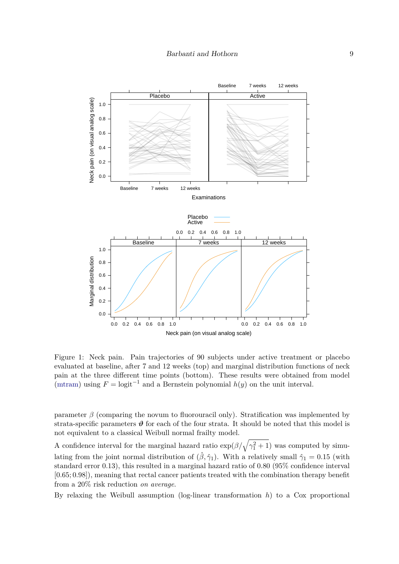

<span id="page-8-0"></span>Figure 1: Neck pain. Pain trajectories of 90 subjects under active treatment or placebo evaluated at baseline, after 7 and 12 weeks (top) and marginal distribution functions of neck pain at the three different time points (bottom). These results were obtained from model [\(mtram\)](#page-4-0) using  $F = \text{logit}^{-1}$  and a Bernstein polynomial  $h(y)$  on the unit interval.

parameter *β* (comparing the novum to fluorouracil only). Stratification was implemented by strata-specific parameters  $\vartheta$  for each of the four strata. It should be noted that this model is not equivalent to a classical Weibull normal frailty model.

A confidence interval for the marginal hazard ratio  $\exp(\beta/\sqrt{\gamma_1^2+1})$  was computed by simulating from the joint normal distribution of  $(\hat{\beta}, \hat{\gamma}_1)$ . With a relatively small  $\hat{\gamma}_1 = 0.15$  (with standard error 0*.*13), this resulted in a marginal hazard ratio of 0*.*80 (95% confidence interval [0*.*65; 0*.*98]), meaning that rectal cancer patients treated with the combination therapy benefit from a 20% risk reduction *on average*.

By relaxing the Weibull assumption (log-linear transformation *h*) to a Cox proportional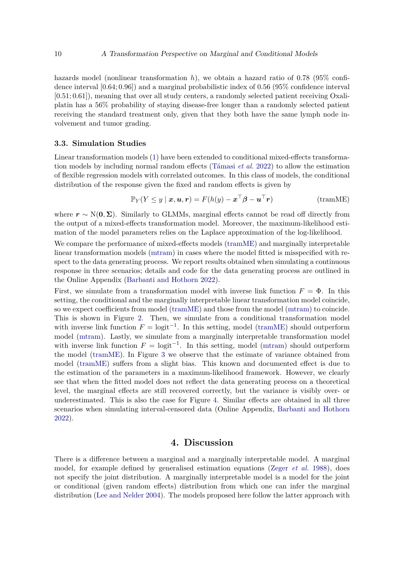hazards model (nonlinear transformation *h*), we obtain a hazard ratio of 0*.*78 (95% confidence interval [0*.*64; 0*.*96]) and a marginal probabilistic index of 0*.*56 (95% confidence interval [0*.*51; 0*.*61]), meaning that over all study centers, a randomly selected patient receiving Oxaliplatin has a 56% probability of staying disease-free longer than a randomly selected patient receiving the standard treatment only, given that they both have the same lymph node involvement and tumor grading.

#### <span id="page-9-0"></span>**3.3. Simulation Studies**

Linear transformation models [\(1\)](#page-1-0) have been extended to conditional mixed-effects transformation models by including normal random effects [\(Támasi](#page-14-11) *et al.* [2022\)](#page-14-11) to allow the estimation of flexible regression models with correlated outcomes. In this class of models, the conditional distribution of the response given the fixed and random effects is given by

$$
\mathbb{P}_Y(Y \le y \mid \boldsymbol{x}, \boldsymbol{u}, \boldsymbol{r}) = F(h(y) - \boldsymbol{x}^\top \boldsymbol{\beta} - \boldsymbol{u}^\top \boldsymbol{r})
$$
 (tramME)

where  $r \sim N(0, \Sigma)$ . Similarly to GLMMs, marginal effects cannot be read off directly from the output of a mixed-effects transformation model. Moreover, the maximum-likelihood estimation of the model parameters relies on the Laplace approximation of the log-likelihood.

We compare the performance of mixed-effects models [\(tramME\)](#page-9-0) and marginally interpretable linear transformation models [\(mtram\)](#page-4-0) in cases where the model fitted is misspecified with respect to the data generating process. We report results obtained when simulating a continuous response in three scenarios; details and code for the data generating process are outlined in the Online Appendix [\(Barbanti and Hothorn](#page-12-1) [2022\)](#page-12-1).

First, we simulate from a transformation model with inverse link function  $F = \Phi$ . In this setting, the conditional and the marginally interpretable linear transformation model coincide, so we expect coefficients from model [\(tramME\)](#page-9-0) and those from the model [\(mtram\)](#page-4-0) to coincide. This is shown in Figure [2.](#page-10-0) Then, we simulate from a conditional transformation model with inverse link function  $F = \text{logit}^{-1}$ . In this setting, model [\(tramME\)](#page-9-0) should outperform model [\(mtram\)](#page-4-0). Lastly, we simulate from a marginally interpretable transformation model with inverse link function  $F = \text{logit}^{-1}$ . In this setting, model [\(mtram\)](#page-4-0) should outperform the model [\(tramME\)](#page-9-0). In Figure [3](#page-11-0) we observe that the estimate of variance obtained from model [\(tramME\)](#page-9-0) suffers from a slight bias. This known and documented effect is due to the estimation of the parameters in a maximum-likelihood framework. However, we clearly see that when the fitted model does not reflect the data generating process on a theoretical level, the marginal effects are still recovered correctly, but the variance is visibly over- or underestimated. This is also the case for Figure [4.](#page-12-3) Similar effects are obtained in all three scenarios when simulating interval-censored data (Online Appendix, [Barbanti and Hothorn](#page-12-1) [2022\)](#page-12-1).

#### **4. Discussion**

There is a difference between a marginal and a marginally interpretable model. A marginal model, for example defined by generalised estimation equations [\(Zeger](#page-15-1) *et al.* [1988\)](#page-15-1), does not specify the joint distribution. A marginally interpretable model is a model for the joint or conditional (given random effects) distribution from which one can infer the marginal distribution [\(Lee and Nelder](#page-13-4) [2004\)](#page-13-4). The models proposed here follow the latter approach with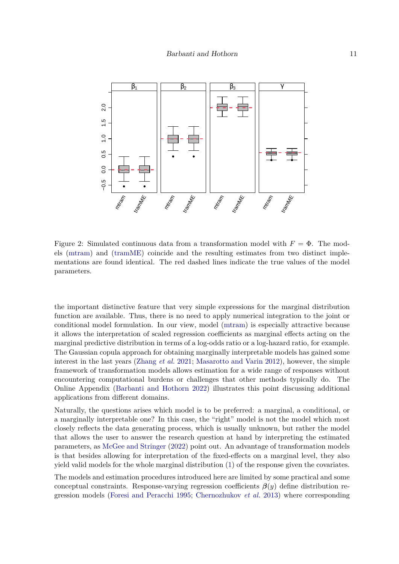

<span id="page-10-0"></span>Figure 2: Simulated continuous data from a transformation model with  $F = \Phi$ . The models [\(mtram\)](#page-4-0) and [\(tramME\)](#page-9-0) coincide and the resulting estimates from two distinct implementations are found identical. The red dashed lines indicate the true values of the model parameters.

the important distinctive feature that very simple expressions for the marginal distribution function are available. Thus, there is no need to apply numerical integration to the joint or conditional model formulation. In our view, model [\(mtram\)](#page-4-0) is especially attractive because it allows the interpretation of scaled regression coefficients as marginal effects acting on the marginal predictive distribution in terms of a log-odds ratio or a log-hazard ratio, for example. The Gaussian copula approach for obtaining marginally interpretable models has gained some interest in the last years [\(Zhang](#page-15-4) *et al.* [2021;](#page-15-4) [Masarotto and Varin](#page-14-12) [2012\)](#page-14-12), however, the simple framework of transformation models allows estimation for a wide range of responses without encountering computational burdens or challenges that other methods typically do. The Online Appendix [\(Barbanti and Hothorn](#page-12-1) [2022\)](#page-12-1) illustrates this point discussing additional applications from different domains.

Naturally, the questions arises which model is to be preferred: a marginal, a conditional, or a marginally interpretable one? In this case, the "right" model is not the model which most closely reflects the data generating process, which is usually unknown, but rather the model that allows the user to answer the research question at hand by interpreting the estimated parameters, as [McGee and Stringer](#page-14-1) [\(2022\)](#page-14-1) point out. An advantage of transformation models is that besides allowing for interpretation of the fixed-effects on a marginal level, they also yield valid models for the whole marginal distribution [\(1\)](#page-1-0) of the response given the covariates.

The models and estimation procedures introduced here are limited by some practical and some conceptual constraints. Response-varying regression coefficients  $\beta(y)$  define distribution regression models [\(Foresi and Peracchi](#page-13-13) [1995;](#page-13-13) [Chernozhukov](#page-12-4) *et al.* [2013\)](#page-12-4) where corresponding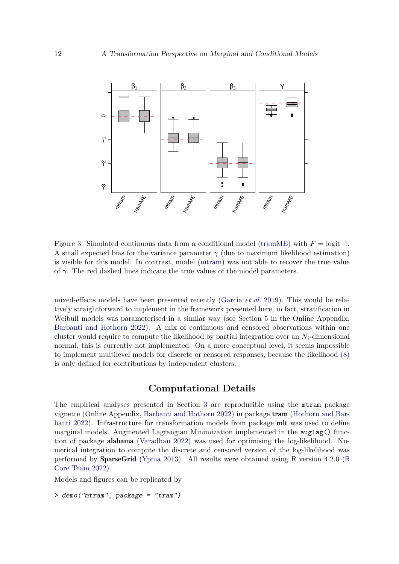

<span id="page-11-0"></span>Figure 3: Simulated continuous data from a conditional model [\(tramME\)](#page-9-0) with  $F = logit^{-1}$ . A small expected bias for the variance parameter  $\gamma$  (due to maximum likelihood estimation) is visible for this model. In contrast, model [\(mtram\)](#page-4-0) was not able to recover the true value of  $\gamma$ . The red dashed lines indicate the true values of the model parameters.

mixed-effects models have been presented recently [\(Garcia](#page-13-9) *et al.* [2019\)](#page-13-9). This would be relatively straightforward to implement in the framework presented here, in fact, stratification in Weibull models was parameterised in a similar way (see Section 5 in the Online Appendix, [Barbanti and Hothorn](#page-12-1) [2022\)](#page-12-1). A mix of continuous and censored observations within one cluster would require to compute the likelihood by partial integration over an  $N_i$ -dimensional normal, this is currently not implemented. On a more conceptual level, it seems impossible to implement multilevel models for discrete or censored responses, because the likelihood [\(8\)](#page-6-2) is only defined for contributions by independent clusters.

### **Computational Details**

The empirical analyses presented in Section [3](#page-6-0) are reproducible using the mtram package vignette (Online Appendix, [Barbanti and Hothorn](#page-12-1) [2022\)](#page-12-1) in package tram [\(Hothorn and Bar](#page-13-12)[banti](#page-13-12) [2022\)](#page-13-12). Infrastructure for transformation models from package mlt was used to define marginal models. Augmented Lagrangian Minimization implemented in the auglag() function of package alabama [\(Varadhan](#page-15-5) [2022\)](#page-15-5) was used for optimising the log-likelihood. Numerical integration to compute the discrete and censored version of the log-likelihood was performed by SparseGrid [\(Ypma](#page-15-6) [2013\)](#page-15-6). All results were obtained using R version 4.2.0 ([R](#page-14-13) [Core Team](#page-14-13) [2022\)](#page-14-13).

Models and figures can be replicated by

> demo("mtram", package = "tram")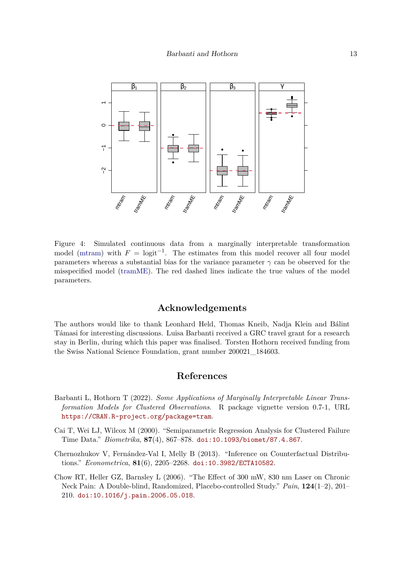

<span id="page-12-3"></span>Figure 4: Simulated continuous data from a marginally interpretable transformation model [\(mtram\)](#page-4-0) with  $F = \text{logit}^{-1}$ . The estimates from this model recover all four model parameters whereas a substantial bias for the variance parameter  $\gamma$  can be observed for the misspecified model [\(tramME\)](#page-9-0). The red dashed lines indicate the true values of the model parameters.

### **Acknowledgements**

The authors would like to thank Leonhard Held, Thomas Kneib, Nadja Klein and Bálint Támasi for interesting discussions. Luisa Barbanti received a GRC travel grant for a research stay in Berlin, during which this paper was finalised. Torsten Hothorn received funding from the Swiss National Science Foundation, grant number 200021\_184603.

### **References**

- <span id="page-12-1"></span>Barbanti L, Hothorn T (2022). *Some Applications of Marginally Interpretable Linear Transformation Models for Clustered Observations*. R package vignette version 0.7-1, URL <https://CRAN.R-project.org/package=tram>.
- <span id="page-12-0"></span>Cai T, Wei LJ, Wilcox M (2000). "Semiparametric Regression Analysis for Clustered Failure Time Data." *Biometrika*, **87**(4), 867–878. [doi:10.1093/biomet/87.4.867](https://doi.org/10.1093/biomet/87.4.867).
- <span id="page-12-4"></span>Chernozhukov V, Fernández-Val I, Melly B (2013). "Inference on Counterfactual Distributions." *Econometrica*, **81**(6), 2205–2268. [doi:10.3982/ECTA10582](https://doi.org/10.3982/ECTA10582).
- <span id="page-12-2"></span>Chow RT, Heller GZ, Barnsley L (2006). "The Effect of 300 mW, 830 nm Laser on Chronic Neck Pain: A Double-blind, Randomized, Placebo-controlled Study." *Pain*, **124**(1–2), 201– 210. [doi:10.1016/j.pain.2006.05.018](https://doi.org/10.1016/j.pain.2006.05.018).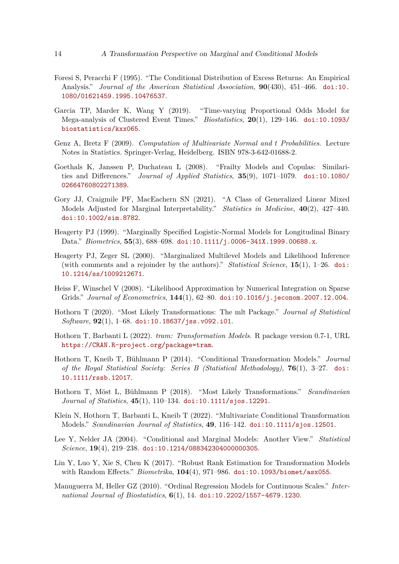- <span id="page-13-13"></span>Foresi S, Peracchi F (1995). "The Conditional Distribution of Excess Returns: An Empirical Analysis." *Journal of the American Statistical Association*, **90**(430), 451–466. [doi:10.](https://doi.org/10.1080/01621459.1995.10476537) [1080/01621459.1995.10476537](https://doi.org/10.1080/01621459.1995.10476537).
- <span id="page-13-9"></span>Garcia TP, Marder K, Wang Y (2019). "Time-varying Proportional Odds Model for Mega-analysis of Clustered Event Times." *Biostatistics*, **20**(1), 129–146. [doi:10.1093/](https://doi.org/10.1093/biostatistics/kxx065) [biostatistics/kxx065](https://doi.org/10.1093/biostatistics/kxx065).
- <span id="page-13-14"></span>Genz A, Bretz F (2009). *Computation of Multivariate Normal and t Probabilities*. Lecture Notes in Statistics. Springer-Verlag, Heidelberg. ISBN 978-3-642-01688-2.
- <span id="page-13-3"></span>Goethals K, Janssen P, Duchateau L (2008). "Frailty Models and Copulas: Similarities and Differences." *Journal of Applied Statistics*, **35**(9), 1071–1079. [doi:10.1080/](https://doi.org/10.1080/02664760802271389) [02664760802271389](https://doi.org/10.1080/02664760802271389).
- <span id="page-13-2"></span>Gory JJ, Craigmile PF, MacEachern SN (2021). "A Class of Generalized Linear Mixed Models Adjusted for Marginal Interpretability." *Statistics in Medicine*, **40**(2), 427–440. [doi:10.1002/sim.8782](https://doi.org/10.1002/sim.8782).
- <span id="page-13-0"></span>Heagerty PJ (1999). "Marginally Specified Logistic-Normal Models for Longitudinal Binary Data." *Biometrics*, **55**(3), 688–698. [doi:10.1111/j.0006-341X.1999.00688.x](https://doi.org/10.1111/j.0006-341X.1999.00688.x).
- <span id="page-13-1"></span>Heagerty PJ, Zeger SL (2000). "Marginalized Multilevel Models and Likelihood Inference (with comments and a rejoinder by the authors)." *Statistical Science*, **15**(1), 1–26. [doi:](https://doi.org/10.1214/ss/1009212671) [10.1214/ss/1009212671](https://doi.org/10.1214/ss/1009212671).
- <span id="page-13-15"></span>Heiss F, Winschel V (2008). "Likelihood Approximation by Numerical Integration on Sparse Grids." *Journal of Econometrics*, **144**(1), 62–80. [doi:10.1016/j.jeconom.2007.12.004](https://doi.org/10.1016/j.jeconom.2007.12.004).
- <span id="page-13-11"></span>Hothorn T (2020). "Most Likely Transformations: The mlt Package." *Journal of Statistical Software*, **92**(1), 1–68. [doi:10.18637/jss.v092.i01](https://doi.org/10.18637/jss.v092.i01).
- <span id="page-13-12"></span>Hothorn T, Barbanti L (2022). *tram: Transformation Models*. R package version 0.7-1, URL <https://CRAN.R-project.org/package=tram>.
- <span id="page-13-7"></span>Hothorn T, Kneib T, Bühlmann P (2014). "Conditional Transformation Models." *Journal of the Royal Statistical Society: Series B (Statistical Methodology)*, **76**(1), 3–27. [doi:](https://doi.org/10.1111/rssb.12017) [10.1111/rssb.12017](https://doi.org/10.1111/rssb.12017).
- <span id="page-13-8"></span>Hothorn T, Möst L, Bühlmann P (2018). "Most Likely Transformations." *Scandinavian Journal of Statistics*, **45**(1), 110–134. [doi:10.1111/sjos.12291](https://doi.org/10.1111/sjos.12291).
- <span id="page-13-10"></span>Klein N, Hothorn T, Barbanti L, Kneib T (2022). "Multivariate Conditional Transformation Models." *Scandinavian Journal of Statistics*, **49**, 116–142. [doi:10.1111/sjos.12501](https://doi.org/10.1111/sjos.12501).
- <span id="page-13-4"></span>Lee Y, Nelder JA (2004). "Conditional and Marginal Models: Another View." *Statistical Science*, **19**(4), 219–238. [doi:10.1214/088342304000000305](https://doi.org/10.1214/088342304000000305).
- <span id="page-13-5"></span>Lin Y, Luo Y, Xie S, Chen K (2017). "Robust Rank Estimation for Transformation Models with Random Effects." *Biometrika*, **104**(4), 971–986. [doi:10.1093/biomet/asx055](https://doi.org/10.1093/biomet/asx055).
- <span id="page-13-6"></span>Manuguerra M, Heller GZ (2010). "Ordinal Regression Models for Continuous Scales." *International Journal of Biostatistics*, **6**(1), 14. [doi:10.2202/1557-4679.1230](https://doi.org/10.2202/1557-4679.1230).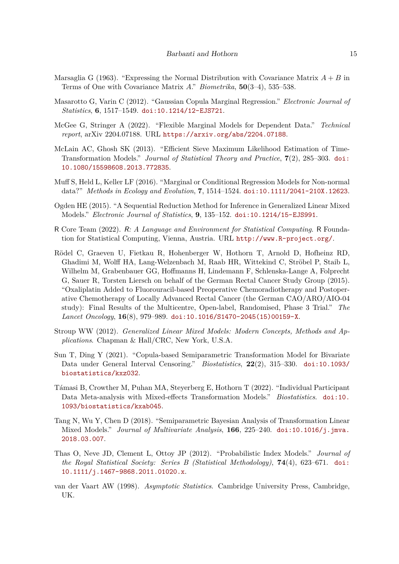- <span id="page-14-8"></span>Marsaglia G (1963). "Expressing the Normal Distribution with Covariance Matrix  $A + B$  in Terms of One with Covariance Matrix *A*." *Biometrika*, **50**(3–4), 535–538.
- <span id="page-14-12"></span>Masarotto G, Varin C (2012). "Gaussian Copula Marginal Regression." *Electronic Journal of Statistics*, **6**, 1517–1549. [doi:10.1214/12-EJS721](https://doi.org/10.1214/12-EJS721).
- <span id="page-14-1"></span>McGee G, Stringer A (2022). "Flexible Marginal Models for Dependent Data." *Technical report*, arXiv 2204.07188. URL <https://arxiv.org/abs/2204.07188>.
- <span id="page-14-3"></span>McLain AC, Ghosh SK (2013). "Efficient Sieve Maximum Likelihood Estimation of Time-Transformation Models." *Journal of Statistical Theory and Practice*, **7**(2), 285–303. [doi:](https://doi.org/10.1080/15598608.2013.772835) [10.1080/15598608.2013.772835](https://doi.org/10.1080/15598608.2013.772835).
- <span id="page-14-2"></span>Muff S, Held L, Keller LF (2016). "Marginal or Conditional Regression Models for Non-normal data?" *Methods in Ecology and Evolution*, **7**, 1514–1524. [doi:10.1111/2041-210X.12623](https://doi.org/10.1111/2041-210X.12623).
- <span id="page-14-7"></span>Ogden HE (2015). "A Sequential Reduction Method for Inference in Generalized Linear Mixed Models." *Electronic Journal of Statistics*, **9**, 135–152. [doi:10.1214/15-EJS991](https://doi.org/10.1214/15-EJS991).
- <span id="page-14-13"></span>R Core Team (2022). R*: A Language and Environment for Statistical Computing*. R Foundation for Statistical Computing, Vienna, Austria. URL <http://www.R-project.org/>.
- <span id="page-14-10"></span>Rödel C, Graeven U, Fietkau R, Hohenberger W, Hothorn T, Arnold D, Hofheinz RD, Ghadimi M, Wolff HA, Lang-Welzenbach M, Raab HR, Wittekind C, Ströbel P, Staib L, Wilhelm M, Grabenbauer GG, Hoffmanns H, Lindemann F, Schlenska-Lange A, Folprecht G, Sauer R, Torsten Liersch on behalf of the German Rectal Cancer Study Group (2015). "Oxaliplatin Added to Fluorouracil-based Preoperative Chemoradiotherapy and Postoperative Chemotherapy of Locally Advanced Rectal Cancer (the German CAO/ARO/AIO-04 study): Final Results of the Multicentre, Open-label, Randomised, Phase 3 Trial." *The Lancet Oncology*, **16**(8), 979–989. [doi:10.1016/S1470-2045\(15\)00159-X](https://doi.org/10.1016/S1470-2045(15)00159-X).
- <span id="page-14-0"></span>Stroup WW (2012). *Generalized Linear Mixed Models: Modern Concepts, Methods and Applications*. Chapman & Hall/CRC, New York, U.S.A.
- <span id="page-14-5"></span>Sun T, Ding Y (2021). "Copula-based Semiparametric Transformation Model for Bivariate Data under General Interval Censoring." *Biostatistics*, **22**(2), 315–330. [doi:10.1093/](https://doi.org/10.1093/biostatistics/kxz032) [biostatistics/kxz032](https://doi.org/10.1093/biostatistics/kxz032).
- <span id="page-14-11"></span>Támasi B, Crowther M, Puhan MA, Steyerberg E, Hothorn T (2022). "Individual Participant Data Meta-analysis with Mixed-effects Transformation Models." *Biostatistics*. [doi:10.](https://doi.org/10.1093/biostatistics/kxab045) [1093/biostatistics/kxab045](https://doi.org/10.1093/biostatistics/kxab045).
- <span id="page-14-4"></span>Tang N, Wu Y, Chen D (2018). "Semiparametric Bayesian Analysis of Transformation Linear Mixed Models." *Journal of Multivariate Analysis*, **166**, 225–240. [doi:10.1016/j.jmva.](https://doi.org/10.1016/j.jmva.2018.03.007) [2018.03.007](https://doi.org/10.1016/j.jmva.2018.03.007).
- <span id="page-14-6"></span>Thas O, Neve JD, Clement L, Ottoy JP (2012). "Probabilistic Index Models." *Journal of the Royal Statistical Society: Series B (Statistical Methodology)*, **74**(4), 623–671. [doi:](https://doi.org/10.1111/j.1467-9868.2011.01020.x) [10.1111/j.1467-9868.2011.01020.x](https://doi.org/10.1111/j.1467-9868.2011.01020.x).
- <span id="page-14-9"></span>van der Vaart AW (1998). *Asymptotic Statistics*. Cambridge University Press, Cambridge, UK.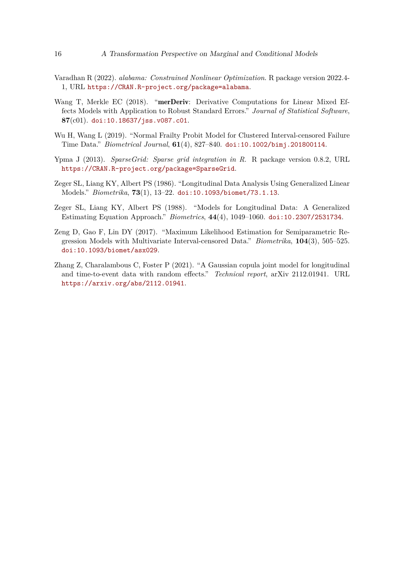- <span id="page-15-5"></span>Varadhan R (2022). *alabama: Constrained Nonlinear Optimization*. R package version 2022.4- 1, URL <https://CRAN.R-project.org/package=alabama>.
- <span id="page-15-7"></span>Wang T, Merkle EC (2018). "merDeriv: Derivative Computations for Linear Mixed Effects Models with Application to Robust Standard Errors." *Journal of Statistical Software*, **87**(c01). [doi:10.18637/jss.v087.c01](https://doi.org/10.18637/jss.v087.c01).
- <span id="page-15-3"></span>Wu H, Wang L (2019). "Normal Frailty Probit Model for Clustered Interval-censored Failure Time Data." *Biometrical Journal*, **61**(4), 827–840. [doi:10.1002/bimj.201800114](https://doi.org/10.1002/bimj.201800114).
- <span id="page-15-6"></span>Ypma J (2013). *SparseGrid: Sparse grid integration in R*. R package version 0.8.2, URL <https://CRAN.R-project.org/package=SparseGrid>.
- <span id="page-15-0"></span>Zeger SL, Liang KY, Albert PS (1986). "Longitudinal Data Analysis Using Generalized Linear Models." *Biometrika*, **73**(1), 13–22. [doi:10.1093/biomet/73.1.13](https://doi.org/10.1093/biomet/73.1.13).
- <span id="page-15-1"></span>Zeger SL, Liang KY, Albert PS (1988). "Models for Longitudinal Data: A Generalized Estimating Equation Approach." *Biometrics*, **44**(4), 1049–1060. [doi:10.2307/2531734](https://doi.org/10.2307/2531734).
- <span id="page-15-2"></span>Zeng D, Gao F, Lin DY (2017). "Maximum Likelihood Estimation for Semiparametric Regression Models with Multivariate Interval-censored Data." *Biometrika*, **104**(3), 505–525. [doi:10.1093/biomet/asx029](https://doi.org/10.1093/biomet/asx029).
- <span id="page-15-4"></span>Zhang Z, Charalambous C, Foster P (2021). "A Gaussian copula joint model for longitudinal and time-to-event data with random effects." *Technical report*, arXiv 2112.01941. URL <https://arxiv.org/abs/2112.01941>.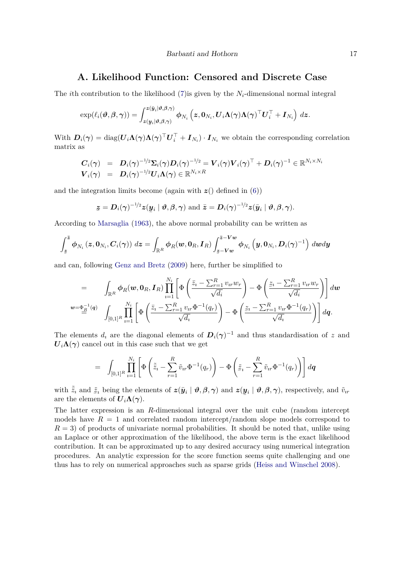### **A. Likelihood Function: Censored and Discrete Case**

<span id="page-16-0"></span>The *i*th contribution to the likelihood [\(7\)](#page-5-0) is given by the  $N_i$ -dimensional normal integral

$$
\exp(\ell_i(\boldsymbol{\vartheta}, \boldsymbol{\beta}, \boldsymbol{\gamma})) = \int_{\boldsymbol{z}(\boldsymbol{y}_i|\boldsymbol{\vartheta}, \boldsymbol{\beta}, \boldsymbol{\gamma})}^{\boldsymbol{z}(\bar{\boldsymbol{y}}_i|\boldsymbol{\vartheta}, \boldsymbol{\beta}, \boldsymbol{\gamma})} \boldsymbol{\phi}_{N_i}\left(\boldsymbol{z}, \boldsymbol{0}_{N_i}, \boldsymbol{U}_i\boldsymbol{\Lambda}(\boldsymbol{\gamma})\boldsymbol{\Lambda}(\boldsymbol{\gamma})^\top\boldsymbol{U}_i^\top + \boldsymbol{I}_{N_i}\right)\,d\boldsymbol{z}.
$$

With  $D_i(\gamma) = \text{diag}(U_i \Lambda(\gamma) \Lambda(\gamma)^\top U_i^\top + I_{N_i}) \cdot I_{N_i}$  we obtain the corresponding correlation matrix as

$$
\begin{array}{lll} \displaystyle {\bm{C}}_i(\bm{\gamma}) & = & \displaystyle {\bm{D}}_i(\bm{\gamma})^{-1/2} {\bm{\Sigma}}_i(\bm{\gamma}) {\bm{D}}_i(\bm{\gamma})^{-1/2} = {\bm{V}}_i(\bm{\gamma}) {\bm{V}}_i(\bm{\gamma})^\top + {\bm{D}}_i(\bm{\gamma})^{-1} \in \mathbb{R}^{N_i \times N_i} \\ {\bm{V}}_i(\bm{\gamma}) & = & \displaystyle {\bm{D}}_i(\bm{\gamma})^{-1/2} {\bm{U}}_i {\bm{\Lambda}}(\bm{\gamma}) \in \mathbb{R}^{N_i \times R} \end{array}
$$

and the integration limits become (again with  $z()$  defined in  $(6)$ )

$$
\underline{\mathbf{z}} = \mathbf{D}_i(\boldsymbol{\gamma})^{-1/2} \mathbf{z}(\underline{\mathbf{y}}_i \mid \boldsymbol{\vartheta}, \boldsymbol{\beta}, \boldsymbol{\gamma}) \text{ and } \overline{\mathbf{z}} = \mathbf{D}_i(\boldsymbol{\gamma})^{-1/2} \mathbf{z}(\overline{\mathbf{y}}_i \mid \boldsymbol{\vartheta}, \boldsymbol{\beta}, \boldsymbol{\gamma}).
$$

According to [Marsaglia](#page-14-8) [\(1963\)](#page-14-8), the above normal probability can be written as

$$
\int_{\tilde{\boldsymbol{z}}}^{\tilde{\boldsymbol{z}}}\boldsymbol{\phi}_{N_i}\left(\boldsymbol{z},\boldsymbol{0}_{N_i},\boldsymbol{C}_i(\boldsymbol{\gamma})\right)\,d\boldsymbol{z}=\int_{\mathbb{R}^R}\boldsymbol{\phi}_{R}(\boldsymbol{w},\boldsymbol{0}_{R},\boldsymbol{I}_{R})\int_{\boldsymbol{z}-\boldsymbol{V}\boldsymbol{w}}^{\tilde{\boldsymbol{z}}-\boldsymbol{V}\boldsymbol{w}}\boldsymbol{\phi}_{N_i}\left(\boldsymbol{y},\boldsymbol{0}_{N_i},\boldsymbol{D}_i(\boldsymbol{\gamma})^{-1}\right)\,d\boldsymbol{w}d\boldsymbol{y}
$$

and can, following [Genz and Bretz](#page-13-14) [\(2009\)](#page-13-14) here, further be simplified to

$$
= \int_{\mathbb{R}^R} \phi_R(\boldsymbol{w}, \mathbf{0}_R, \boldsymbol{I}_R) \prod_{i=1}^{N_i} \left[ \Phi\left(\frac{\bar{z}_i - \sum_{r=1}^R v_{ir} w_r}{\sqrt{d_i}}\right) - \Phi\left(\frac{\bar{z}_i - \sum_{r=1}^R v_{ir} w_r}{\sqrt{d_i}}\right) \right] d\boldsymbol{w}
$$
  

$$
\begin{aligned} \mathbf{w} = \underline{\Phi}_R^{-1}(q) \quad & \int_{[0,1]^R} \prod_{i=1}^{N_i} \left[ \Phi\left(\frac{\bar{z}_i - \sum_{r=1}^R v_{ir} \Phi^{-1}(q_r)}{\sqrt{d_i}}\right) - \Phi\left(\frac{\bar{z}_i - \sum_{r=1}^R v_{ir} \Phi^{-1}(q_r)}{\sqrt{d_i}}\right) \right] d\boldsymbol{q}. \end{aligned}
$$

The elements  $d_i$  are the diagonal elements of  $D_i(\gamma)^{-1}$  and thus standardisation of z and  $U_i\Lambda(\gamma)$  cancel out in this case such that we get

$$
= \int_{[0,1]^R} \prod_{i=1}^{N_i} \left[ \Phi\left(\tilde{z}_i - \sum_{r=1}^R \tilde{v}_{ir} \Phi^{-1}(q_r) \right) - \Phi\left(\tilde{z}_i - \sum_{r=1}^R \tilde{v}_{ir} \Phi^{-1}(q_r) \right) \right] d\mathbf{q}
$$

with  $\tilde{\tilde{z}}_i$  and  $\tilde{z}_i$  being the elements of  $z(\bar{y}_i | \theta, \beta, \gamma)$  and  $z($ are the elements of  $U_i \Lambda(\gamma)$ . ¯  $\mathbf{y}_i \mid \boldsymbol{\vartheta}, \boldsymbol{\beta}, \boldsymbol{\gamma}$ , respectively, and  $\tilde{v}_{ir}$ 

The latter expression is an *R*-dimensional integral over the unit cube (random intercept models have  $R = 1$  and correlated random intercept/random slope models correspond to  $R = 3$ ) of products of univariate normal probabilities. It should be noted that, unlike using an Laplace or other approximation of the likelihood, the above term is the exact likelihood contribution. It can be approximated up to any desired accuracy using numerical integration procedures. An analytic expression for the score function seems quite challenging and one thus has to rely on numerical approaches such as sparse grids [\(Heiss and Winschel](#page-13-15) [2008\)](#page-13-15).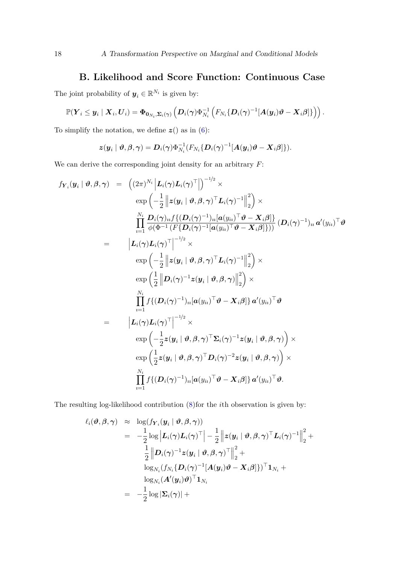## **B. Likelihood and Score Function: Continuous Case**

<span id="page-17-0"></span>The joint probability of  $y_i \in \mathbb{R}^{N_i}$  is given by:

$$
\mathbb{P}(\boldsymbol{Y}_i \leq \boldsymbol{y}_i \mid \boldsymbol{X}_i, \boldsymbol{U}_i) = \boldsymbol{\Phi}_{\boldsymbol{0}_{N_i}, \boldsymbol{\Sigma}_i(\boldsymbol{\gamma})}\left(\boldsymbol{D}_i(\boldsymbol{\gamma}) \Phi_{N_i}^{-1}\left(F_{N_i}\{\boldsymbol{D}_i(\boldsymbol{\gamma})^{-1}[\boldsymbol{A}(\boldsymbol{y}_i)\boldsymbol{\vartheta} - \boldsymbol{X}_i\boldsymbol{\beta}]\}\right)\right).
$$

To simplify the notation, we define  $z()$  as in [\(6\)](#page-5-1):

$$
\boldsymbol{z}(\boldsymbol{y}_i\mid \boldsymbol{\vartheta}, \boldsymbol{\beta}, \boldsymbol{\gamma}) = \boldsymbol{D}_i(\boldsymbol{\gamma}) \Phi_{N_i}^{-1}(F_{N_i}\{\boldsymbol{D}_i(\boldsymbol{\gamma})^{-1}[\boldsymbol{A}(\boldsymbol{y}_i)\boldsymbol{\vartheta} - \boldsymbol{X}_i\boldsymbol{\beta}]\}).
$$

We can derive the corresponding joint density for an arbitrary *F*:

$$
f_{\mathbf{Y}_{i}}(\mathbf{y}_{i} | \boldsymbol{\vartheta}, \boldsymbol{\beta}, \boldsymbol{\gamma}) = (2\pi)^{N_{i}} \left| \mathbf{L}_{i}(\boldsymbol{\gamma})\mathbf{L}_{i}(\boldsymbol{\gamma})^{\top} \right|^{-1/2} \times \n\exp \left( -\frac{1}{2} \left\| \mathbf{z}(\mathbf{y}_{i} | \boldsymbol{\vartheta}, \boldsymbol{\beta}, \boldsymbol{\gamma})^{\top} \mathbf{L}_{i}(\boldsymbol{\gamma})^{-1} \right\|_{2}^{2} \right) \times \n\prod_{i=1}^{N_{i}} \frac{\mathbf{D}_{i}(\boldsymbol{\gamma})_{ii} f\{(\mathbf{D}_{i}(\boldsymbol{\gamma})^{-1})_{ii} [\mathbf{a}(y_{ii})^{\top} \boldsymbol{\vartheta} - \mathbf{X}_{i} \boldsymbol{\beta}]\}}{ \phi(\boldsymbol{\Phi}^{-1} (F\{D_{i}(\boldsymbol{\gamma})^{-1} [\mathbf{a}(y_{ii})^{\top} \boldsymbol{\vartheta} - \mathbf{X}_{i} \boldsymbol{\beta}]\})})} (\mathbf{D}_{i}(\boldsymbol{\gamma})^{-1})_{ii} \mathbf{a}'(y_{ii})^{\top} \boldsymbol{\vartheta} \n= | \mathbf{L}_{i}(\boldsymbol{\gamma})\mathbf{L}_{i}(\boldsymbol{\gamma})^{\top} |^{-1/2} \times \n\exp \left( -\frac{1}{2} \left\| \mathbf{z}(\mathbf{y}_{i} | \boldsymbol{\vartheta}, \boldsymbol{\beta}, \boldsymbol{\gamma})^{\top} \mathbf{L}_{i}(\boldsymbol{\gamma})^{-1} \right\|_{2}^{2} \right) \times \n\exp \left( \frac{1}{2} \left\| \mathbf{D}_{i}(\boldsymbol{\gamma})^{-1} \mathbf{z}(\mathbf{y}_{i} | \boldsymbol{\vartheta}, \boldsymbol{\beta}, \boldsymbol{\gamma}) \right\|_{2}^{2} \right) \times \n\prod_{i=1}^{N_{i}} f\{(\mathbf{D}_{i}(\boldsymbol{\gamma})^{-1})_{ii} [\mathbf{a}(y_{ii})^{\top} \boldsymbol{\vartheta} - \mathbf{X}_{i} \boldsymbol{\beta}]\} \mathbf{a}'(y_{ii})^{\top} \boldsymbol{\vartheta} \n= | \mathbf{L}_{i}(\boldsymbol{\gamma})\mathbf{L}_{i}(\boldsymbol{\gamma})^{\top} |^{-1/2} \
$$

The resulting log-likelihood contribution [\(8\)](#page-6-2)for the *i*th observation is given by:

$$
\begin{array}{rcl} \ell_i(\boldsymbol{\vartheta}, \boldsymbol{\beta}, \boldsymbol{\gamma}) & \approx & \log (f_{\boldsymbol{Y}_i}(\boldsymbol{y}_i \mid \boldsymbol{\vartheta}, \boldsymbol{\beta}, \boldsymbol{\gamma})) \\ \\ & = & -\frac{1}{2} \log \left| \boldsymbol{L}_i(\boldsymbol{\gamma}) \boldsymbol{L}_i(\boldsymbol{\gamma})^\top \right| - \frac{1}{2} \left\| \boldsymbol{z}(\boldsymbol{y}_i \mid \boldsymbol{\vartheta}, \boldsymbol{\beta}, \boldsymbol{\gamma})^\top \boldsymbol{L}_i(\boldsymbol{\gamma})^{-1} \right\|_2^2 + \\ & & \frac{1}{2} \left\| \boldsymbol{D}_i(\boldsymbol{\gamma})^{-1} \boldsymbol{z}(\boldsymbol{y}_i \mid \boldsymbol{\vartheta}, \boldsymbol{\beta}, \boldsymbol{\gamma})^\top \right\|_2^2 + \\ & & \log_{N_i} (f_{N_i} \{\boldsymbol{D}_i(\boldsymbol{\gamma})^{-1} [\boldsymbol{A}(\boldsymbol{y}_i) \boldsymbol{\vartheta} - \boldsymbol{X}_i \boldsymbol{\beta}] \})^\top \boldsymbol{1}_{N_i} + \\ & & \log_{N_i} (\boldsymbol{A}'(\boldsymbol{y}_i) \boldsymbol{\vartheta})^\top \boldsymbol{1}_{N_i} \\ & = & -\frac{1}{2} \log |\boldsymbol{\Sigma}_i(\boldsymbol{\gamma})| + \end{array}
$$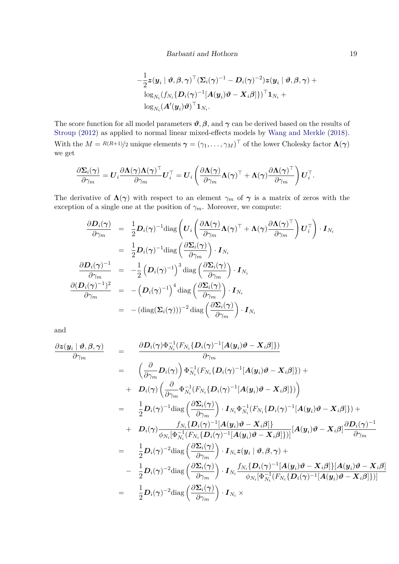$$
-\frac{1}{2}\boldsymbol z(\boldsymbol y_i\mid \boldsymbol \vartheta,\boldsymbol \beta,\boldsymbol \gamma)^\top (\boldsymbol \Sigma_i(\boldsymbol \gamma)^{-1}-\boldsymbol D_i(\boldsymbol \gamma)^{-2})\boldsymbol z(\boldsymbol y_i\mid \boldsymbol \vartheta,\boldsymbol \beta,\boldsymbol \gamma)+\\\frac{\log_{N_i}(f_{N_i}\{\boldsymbol D_i(\boldsymbol \gamma)^{-1}[\boldsymbol A(\boldsymbol y_i)\boldsymbol \vartheta-\boldsymbol X_i\boldsymbol \beta]\})^\top \boldsymbol 1_{N_i}+\\\frac{\log_{N_i}(\boldsymbol A'(\boldsymbol y_i)\boldsymbol \vartheta)^\top \boldsymbol 1_{N_i} .
$$

The score function for all model parameters  $\vartheta$ ,  $\beta$ , and  $\gamma$  can be derived based on the results of [Stroup](#page-14-0) [\(2012\)](#page-14-0) as applied to normal linear mixed-effects models by [Wang and Merkle](#page-15-7) [\(2018\)](#page-15-7). With the  $M = R(R+1)/2$  unique elements  $\boldsymbol{\gamma} = (\gamma_1, \dots, \gamma_M)^\top$  of the lower Cholesky factor  $\boldsymbol{\Lambda}(\boldsymbol{\gamma})$ we get

$$
\frac{\partial \boldsymbol{\Sigma}_i(\boldsymbol{\gamma})}{\partial \gamma_m} = \boldsymbol{U}_i \frac{\partial \boldsymbol{\Lambda}(\boldsymbol{\gamma}) \boldsymbol{\Lambda}(\boldsymbol{\gamma})^\top}{\partial \gamma_m} \boldsymbol{U}_i^\top = \boldsymbol{U}_i \left( \frac{\partial \boldsymbol{\Lambda}(\boldsymbol{\gamma})}{\partial \gamma_m} \boldsymbol{\Lambda}(\boldsymbol{\gamma})^\top + \boldsymbol{\Lambda}(\boldsymbol{\gamma}) \frac{\partial \boldsymbol{\Lambda}(\boldsymbol{\gamma})^\top}{\partial \gamma_m} \right) \boldsymbol{U}_i^\top.
$$

The derivative of  $\Lambda(\gamma)$  with respect to an element  $\gamma_m$  of  $\gamma$  is a matrix of zeros with the exception of a single one at the position of  $\gamma_m$ . Moreover, we compute:

$$
\frac{\partial \mathbf{D}_{i}(\boldsymbol{\gamma})}{\partial \gamma_{m}} = \frac{1}{2} \mathbf{D}_{i}(\boldsymbol{\gamma})^{-1} \text{diag}\left(\mathbf{U}_{i} \left(\frac{\partial \boldsymbol{\Lambda}(\boldsymbol{\gamma})}{\partial \gamma_{m}} \boldsymbol{\Lambda}(\boldsymbol{\gamma})^{\top} + \boldsymbol{\Lambda}(\boldsymbol{\gamma}) \frac{\partial \boldsymbol{\Lambda}(\boldsymbol{\gamma})^{\top}}{\partial \gamma_{m}}\right) \mathbf{U}_{i}^{\top}\right) \cdot \mathbf{I}_{N_{i}}
$$
\n
$$
= \frac{1}{2} \mathbf{D}_{i}(\boldsymbol{\gamma})^{-1} \text{diag}\left(\frac{\partial \boldsymbol{\Sigma}_{i}(\boldsymbol{\gamma})}{\partial \gamma_{m}}\right) \cdot \mathbf{I}_{N_{i}}
$$
\n
$$
\frac{\partial \mathbf{D}_{i}(\boldsymbol{\gamma})^{-1}}{\partial \gamma_{m}} = -\frac{1}{2} \left(\mathbf{D}_{i}(\boldsymbol{\gamma})^{-1}\right)^{3} \text{diag}\left(\frac{\partial \boldsymbol{\Sigma}_{i}(\boldsymbol{\gamma})}{\partial \gamma_{m}}\right) \cdot \mathbf{I}_{N_{i}}
$$
\n
$$
\frac{\partial (\mathbf{D}_{i}(\boldsymbol{\gamma})^{-1})^{2}}{\partial \gamma_{m}} = -\left(\mathbf{D}_{i}(\boldsymbol{\gamma})^{-1}\right)^{4} \text{diag}\left(\frac{\partial \boldsymbol{\Sigma}_{i}(\boldsymbol{\gamma})}{\partial \gamma_{m}}\right) \cdot \mathbf{I}_{N_{i}}
$$
\n
$$
= -(\text{diag}(\boldsymbol{\Sigma}_{i}(\boldsymbol{\gamma})))^{-2} \text{diag}\left(\frac{\partial \boldsymbol{\Sigma}_{i}(\boldsymbol{\gamma})}{\partial \gamma_{m}}\right) \cdot \mathbf{I}_{N_{i}}
$$

and

$$
\frac{\partial z(\mathbf{y}_{i} | \boldsymbol{\vartheta}, \boldsymbol{\beta}, \boldsymbol{\gamma})}{\partial \gamma_{m}} = \frac{\partial \mathbf{D}_{i}(\boldsymbol{\gamma}) \Phi_{N_{i}}^{-1} (F_{N_{i}} \{ \mathbf{D}_{i}(\boldsymbol{\gamma})^{-1} [\mathbf{A}(\mathbf{y}_{i}) \boldsymbol{\vartheta} - \mathbf{X}_{i} \boldsymbol{\beta}]\})}{\partial \gamma_{m}} \n= \left(\frac{\partial}{\partial \gamma_{m}} \mathbf{D}_{i}(\boldsymbol{\gamma})\right) \Phi_{N_{i}}^{-1} (F_{N_{i}} \{ \mathbf{D}_{i}(\boldsymbol{\gamma})^{-1} [\mathbf{A}(\mathbf{y}_{i}) \boldsymbol{\vartheta} - \mathbf{X}_{i} \boldsymbol{\beta}]\}) + \n+ \mathbf{D}_{i}(\boldsymbol{\gamma}) \left(\frac{\partial}{\partial \gamma_{m}} \Phi_{N_{i}}^{-1} (F_{N_{i}} \{ \mathbf{D}_{i}(\boldsymbol{\gamma})^{-1} [\mathbf{A}(\mathbf{y}_{i}) \boldsymbol{\vartheta} - \mathbf{X}_{i} \boldsymbol{\beta}]\})\right) \n= \frac{1}{2} \mathbf{D}_{i}(\boldsymbol{\gamma})^{-1} \text{diag} \left(\frac{\partial \mathbf{\Sigma}_{i}(\boldsymbol{\gamma})}{\partial \gamma_{m}}\right) \cdot \mathbf{I}_{N_{i}} \Phi_{N_{i}}^{-1} (F_{N_{i}} \{ \mathbf{D}_{i}(\boldsymbol{\gamma})^{-1} [\mathbf{A}(\mathbf{y}_{i}) \boldsymbol{\vartheta} - \mathbf{X}_{i} \boldsymbol{\beta}]\}) + \n+ \mathbf{D}_{i}(\boldsymbol{\gamma}) \frac{f_{N_{i}} \{ \mathbf{D}_{i}(\boldsymbol{\gamma})^{-1} [\mathbf{A}(\mathbf{y}_{i}) \boldsymbol{\vartheta} - \mathbf{X}_{i} \boldsymbol{\beta}]\}}{\partial \gamma_{m}} \right] [\mathbf{A}(\mathbf{y}_{i}) \boldsymbol{\vartheta} - \mathbf{X}_{i} \boldsymbol{\beta}] + \n+ \mathbf{D}_{i}(\boldsymbol{\gamma}) \frac{f_{N_{i}} \{ \mathbf{D}_{i}(\boldsymbol{\gamma})^{-1} [\mathbf{A}(\mathbf{y}_{i}) \boldsymbol{\vartheta} - \mathbf{X}_{i} \boldsymbol{\beta}]\}}{\partial \gamma_{m}} \right] [\mathbf{A}(\mathbf{y}_{i}) \boldsymbol{\
$$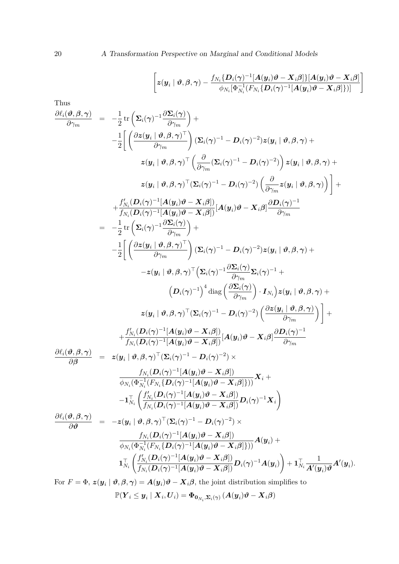20 A Transformation Perspective on Marginal and Conditional Models

$$
\left[ \boldsymbol{z}(\boldsymbol{y}_i \mid \boldsymbol{\vartheta}, \boldsymbol{\beta}, \boldsymbol{\gamma}) - \frac{f_{N_i}\{\boldsymbol{D}_i(\boldsymbol{\gamma})^{-1}[\boldsymbol{A}(\boldsymbol{y}_i)\boldsymbol{\vartheta} - \boldsymbol{X}_i\boldsymbol{\beta}]\}[\boldsymbol{A}(\boldsymbol{y}_i)\boldsymbol{\vartheta} - \boldsymbol{X}_i\boldsymbol{\beta}]}{\phi_{N_i}[\Phi_{N_i}^{-1}(F_{N_i}\{\boldsymbol{D}_i(\boldsymbol{\gamma})^{-1}[\boldsymbol{A}(\boldsymbol{y}_i)\boldsymbol{\vartheta} - \boldsymbol{X}_i\boldsymbol{\beta}]\})]} \right]
$$

Thus

$$
\frac{\partial \ell_{i}(\vartheta,\beta,\gamma)}{\partial \gamma_{m}} = -\frac{1}{2} \text{tr} \left( \Sigma_{i}(\gamma)^{-1} \frac{\partial \Sigma_{i}(\gamma)}{\partial \gamma_{m}} \right) + \n- \frac{1}{2} \left[ \left( \frac{\partial z(y_{i} | \vartheta,\beta,\gamma)^{T}}{\partial \gamma_{m}} \right) (\Sigma_{i}(\gamma)^{-1} - D_{i}(\gamma)^{-2}) z(y_{i} | \vartheta,\beta,\gamma) + \n z(y_{i} | \vartheta,\beta,\gamma)^{T} \left( \frac{\partial}{\partial \gamma_{m}} (\Sigma_{i}(\gamma)^{-1} - D_{i}(\gamma)^{-2}) \right) z(y_{i} | \vartheta,\beta,\gamma) + \n z(y_{i} | \vartheta,\beta,\gamma)^{T} (\Sigma_{i}(\gamma)^{-1} - D_{i}(\gamma)^{-2}) \left( \frac{\partial}{\partial \gamma_{m}} z(y_{i} | \vartheta,\beta,\gamma) \right) \right] + \n+ \frac{f_{N_{i}}^{f} (D_{i}(\gamma)^{-1} [A(y_{i})\vartheta - X_{i}\beta])}{f_{N_{i}} (D_{i}(\gamma)^{-1} [A(y_{i})\vartheta - X_{i}\beta] } \frac{\partial D_{i}(\gamma)^{-1}}{\partial \gamma_{m}} \n= -\frac{1}{2} \text{tr} \left( \Sigma_{i}(\gamma)^{-1} \frac{\partial \Sigma_{i}(\gamma)}{\partial \gamma_{m}} \right) + \n- \frac{1}{2} \left[ \left( \frac{\partial z(y_{i} | \vartheta,\beta,\gamma)^{T}}{\partial \gamma_{m}} \right) (\Sigma_{i}(\gamma)^{-1} - D_{i}(\gamma)^{-2}) z(y_{i} | \vartheta,\beta,\gamma) + \n- z(y_{i} | \vartheta,\beta,\gamma)^{T} (\Sigma_{i}(\gamma)^{-1} - D_{i}(\gamma)^{-2}) z(y_{i} | \vartheta,\beta,\gamma) + \n- z(y_{i} | \vartheta,\beta,\gamma)^{T} (\Sigma_{i}(\gamma)^{-1} - D_{i}(\gamma)^{-2}) \left( \frac{\partial z(y_{i} | \vartheta,\beta,\gamma)}{\partial \gamma_{m}} \right) \right] + \n+ \frac{f_{N_{i}}^{f} (D_{i}(\gamma)^{-1} [A(y_{i})\vartheta - X_{i}\beta] }{\partial \gamma_{m}} [A(y_{i})\vartheta - X_{i
$$

$$
\mathbb{P}(\boldsymbol{Y}_i \leq \boldsymbol{y}_i\mid \boldsymbol{X}_i, \boldsymbol{U}_i) = \boldsymbol{\Phi}_{\boldsymbol{0}_{N_i},\boldsymbol{\Sigma}_i(\boldsymbol{\gamma})}\left(\boldsymbol{A}(\boldsymbol{y}_i)\boldsymbol{\vartheta} - \boldsymbol{X}_i\boldsymbol{\beta}\right)
$$